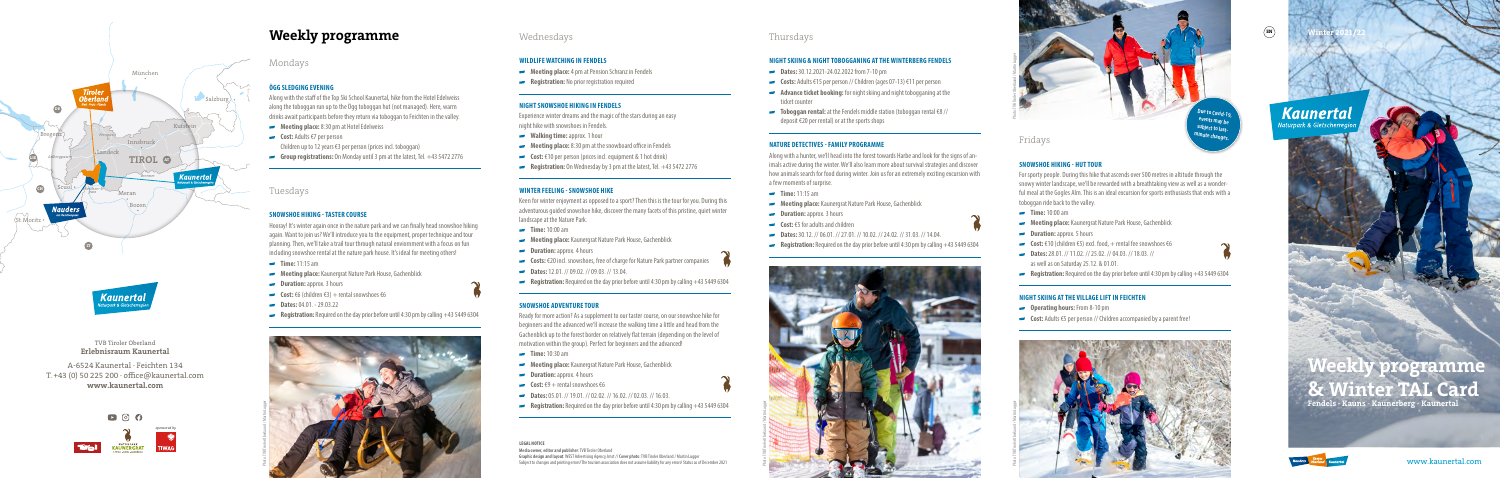# **Weekly programme**





**Winter 2021/22**

 $\binom{E}{E}$ 

# **Kaunertal** aturpark & Gletscher





### TVB Tiroler Oberland **Erlebnisraum Kaunertal**

### A-6524 Kaunertal · Feichten 134 T. +43 (0) 50 225 200 · office@kaunertal.com **www.kaunertal.com**



# **Kaunertal**

# Mondays

# **ÖGG SLEDGING EVENING**

Along with the staff of the Top Ski School Kaunertal, hike from the Hotel Edelweiss along the toboggan run up to the Ögg toboggan hut (not managed). Here, warm drinks await participants before they return via toboggan to Feichten in the valley.

- **Time:** 11:15 am
- **Meeting place:** Kaunergrat Nature Park House, Gachenblick
- **Duration: approx. 3 hours**
- $\text{Cost: } \text{\textsterling}6 \text{ (children } \text{\textsterling}3) + \text{rental snowshoes } \text{\textsterling}6$
- **Dates:** 04.01. 29.03.22
- **Registration:** Required on the day prior before until 4:30 pm by calling +43 5449 6304
- **Meeting place:** 8:30 pm at Hotel Edelweiss
- **Cost:** Adults €7 per person Children up to 12 years €3 per person (prices incl. toboggan)
- **Group registrations:** On Monday until 3 pm at the latest, Tel. +43 5472 2776
- **Walking time:** approx. 1 hour
- **Meeting place:** 8:30 pm at the snowboard office in Fendels
- **Cost:** €10 per person (prices incl. equipment & 1 hot drink)
- **Registration:** On Wednesday by 3 pm at the latest, Tel. +43 5472 2776

# Tuesdays

## **SNOWSHOE HIKING - TASTER COURSE**

Hooray! It's winter again once in the nature park and we can finally head snowshoe hiking again. Want to join us? We'll introduce you to the equipment, proper technique and tour planning. Then, we'll take a trail tour through natural enviornment with a focus on fun including snowshoe rental at the nature park house. It's ideal for meeting others!

- **Time:** 10:00 am
- **Meeting place:** Kaunergrat Nature Park House, Gachenblick
- **Duration:** approx. 4 hours
- **Costs:** €20 incl. snowshoes, free of charge for Nature Park partner companies
- **Dates:** 12.01. // 09.02. // 09.03. // 13.04.
- **Registration:** Required on the day prior before until 4:30 pm by calling +43 5449 6304

- **Time:** 10:30 am
- **Meeting place:** Kaunergrat Nature Park House, Gachenblick
- **Duration:** approx. 4 hours
- **Cost:**  $\epsilon$ 9 + rental snowshoes  $\epsilon$ 6
- **Dates:** 05.01. // 19.01. // 02.02. // 16.02. // 02.03. // 16.03.
- **Registration:** Required on the day prior before until 4:30 pm by calling +43 5449 6304

# Wednesdays

### **WILDLIFE WATCHING IN FENDELS**

- **Meeting place:** 4 pm at Pension Schranz in Fendels
- **Registration:** No prior registration required

### **NIGHT SNOWSHOE HIKING IN FENDELS**

Experience winter dreams and the magic of the stars during an easy night hike with snowshoes in Fendels.

- **Time:** 11:15 am
- **Meeting place:** Kaunergrat Nature Park House, Gachenblick
- **Duration:** approx. 3 hours
- **Cost:** €5 for adults and children
- **Dates:** 30.12. // 06.01. // 27.01. // 10.02. // 24.02. // 31.03. // 14.04.
- **Registration:** Required on the day prior before until 4:30 pm by calling +43 5449 6304

### **WINTER FEELING - SNOWSHOE HIKE**

Keen for winter enjoyment as opposed to a sport? Then this is the tour for you. During this adventurous guided snowshoe hike, discover the many facets of this pristine, quiet winter landscape at the Nature Park.

- **Meeting place:** Kaunergrat Nature Park House, Gachenblick
- **Duration:** approx. 5 hours

- **Cost:** €10 (children €5) excl. food, + rental fee snowshoes €6
- **Dates:** 28.01. // 11.02. // 25.02. // 04.03. // 18.03. // as well as on Saturday 25.12. & 01.01.
- **Registration:** Required on the day prior before until 4:30 pm by calling +43 5449 6304

- **Operating hours:** From 8-10 pm
- **Cost:** Adults €5 per person // Children accompanied by a parent free!

### **SNOWSHOE ADVENTURE TOUR**

Ready for more action? As a supplement to our taster course, on our snowshoe hike for beginners and the advanced we'll increase the walking time a little and head from the Gachenblick up to the forest border on relatively flat terrain (depending on the level of motivation within the group). Perfect for beginners and the advanced!

**ue to Covid-1 events may be**  subject to last. **minute changes.**

# Thursdays

### **NIGHT SKIING & NIGHT TOBOGGANING AT THE WINTERBERG FENDELS**

- **Dates:** 30.12.2021-24.02.2022 from 7-10 pm
- **Costs:** Adults €15 per person // Children (ages 07-13) €11 per person
- **Advance ticket booking:** for night skiing and night tobogganing at the ticket counter
- **Toboggan rental:** at the Fendels middle station (toboggan rental €8 // deposit €20 per rental) or at the sports shops

#### **NATURE DETECTIVES - FAMILY PROGRAMME**

Along with a hunter, we'll head into the forest towards Harbe and look for the signs of animals active during the winter. We'll also learn more about survival strategies and discover how animals search for food during winter. Join us for an extremely exciting excursion with a few moments of surprise.

Fridays

**SNOWSHOE HIKING - HUT TOUR**

For sporty people. During this hike that ascends over 500 metres in altitude through the snowy winter landscape, we'll be rewarded with a breathtaking view as well as a wonderful meal at the Gogles Alm. This is an ideal excursion for sports enthusiasts that ends with a toboggan ride back to the valley.

**Time:** 10:00 am

#### **NIGHT SKIING AT THE VILLAGE LIFT IN FEICHTEN**

**LEGAL NOTICE Media owner, editor and publisher:** TVB Tiroler Oberland **Graphic design and layout**: WEST Advertising Agency, Imst // **Cover photo**: TVB Tiroler Oberland / Martin Lugger Subject to changes and printing errors! The tourism association does not assume liability for any errors! Status as of December 2021